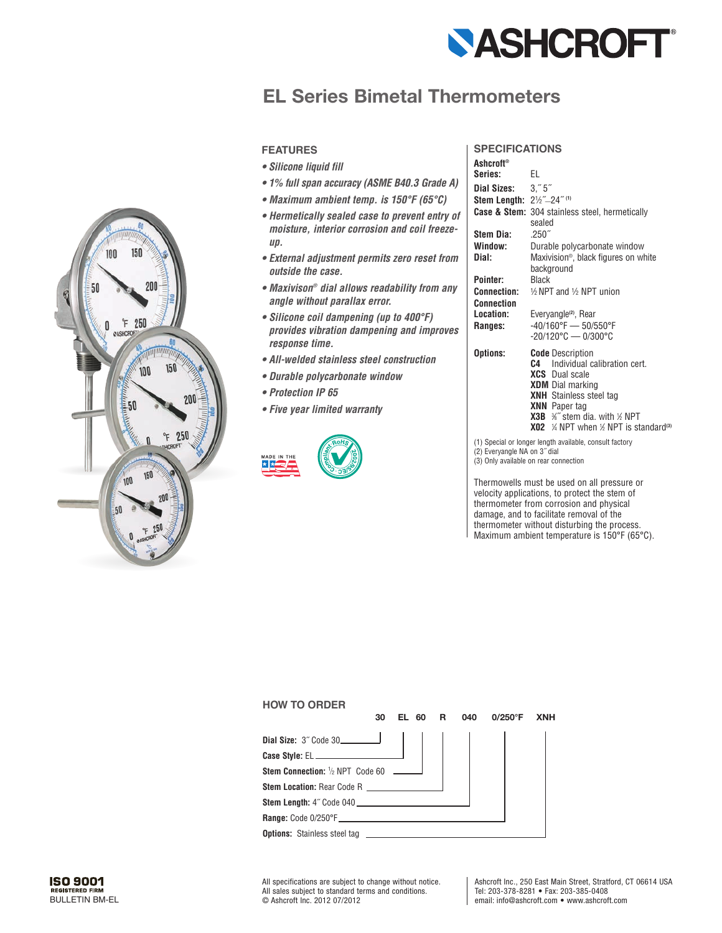

## **EL Series Bimetal Thermometers**



- *Silicone liquid fill*
- *1% full span accuracy (ASME B40.3 Grade A)*
- *Maximum ambient temp. is 150°F (65°C)*
- *Hermetically sealed case to prevent entry of moisture, interior corrosion and coil freezeup.*
- *External adjustment permits zero reset from outside the case.*
- *Maxivison® dial allows readability from any angle without parallax error.*
- *Silicone coil dampening (up to 400°F) provides vibration dampening and improves response time.*
- *All-welded stainless steel construction*
- *Durable polycarbonate window*
- *Protection IP 65*
- *Five year limited warranty*



## **SpecificationS**

| <b>Ashcroft®</b>                                        |                                                                                                                                                                                                                                                                                                      |  |  |  |  |  |  |  |
|---------------------------------------------------------|------------------------------------------------------------------------------------------------------------------------------------------------------------------------------------------------------------------------------------------------------------------------------------------------------|--|--|--|--|--|--|--|
| Series:                                                 | EL                                                                                                                                                                                                                                                                                                   |  |  |  |  |  |  |  |
| Dial Sizes: 3."5"                                       |                                                                                                                                                                                                                                                                                                      |  |  |  |  |  |  |  |
| Stem Length: 21/2"-24" (1)                              |                                                                                                                                                                                                                                                                                                      |  |  |  |  |  |  |  |
|                                                         | <b>Case &amp; Stem:</b> 304 stainless steel, hermetically<br>sealed                                                                                                                                                                                                                                  |  |  |  |  |  |  |  |
| Stem Dia:                                               | .250''                                                                                                                                                                                                                                                                                               |  |  |  |  |  |  |  |
| Window:                                                 | Durable polycarbonate window                                                                                                                                                                                                                                                                         |  |  |  |  |  |  |  |
| Dial:                                                   | Maxivision <sup>®</sup> , black figures on white<br>background                                                                                                                                                                                                                                       |  |  |  |  |  |  |  |
| Pointer:                                                | <b>Black</b>                                                                                                                                                                                                                                                                                         |  |  |  |  |  |  |  |
| Connection:                                             | $\frac{1}{2}$ NPT and $\frac{1}{2}$ NPT union                                                                                                                                                                                                                                                        |  |  |  |  |  |  |  |
| <b>Connection</b>                                       |                                                                                                                                                                                                                                                                                                      |  |  |  |  |  |  |  |
| Location:                                               | Everyangle <sup>(2)</sup> , Rear                                                                                                                                                                                                                                                                     |  |  |  |  |  |  |  |
| Ranges:                                                 | -40/160°F - 50/550°F<br>$-20/120^{\circ}$ C - 0/300 $^{\circ}$ C                                                                                                                                                                                                                                     |  |  |  |  |  |  |  |
| Options:                                                | <b>Code</b> Description<br>Individual calibration cert.<br>C.4<br><b>XCS</b> Dual scale<br><b>XDM</b> Dial marking<br><b>XNH</b> Stainless steel tag<br><b>XNN</b> Paper tag<br><b>X3B</b> %" stem dia. with % NPT<br><b>X02</b> $\frac{1}{4}$ NPT when $\frac{1}{2}$ NPT is standard <sup>(3)</sup> |  |  |  |  |  |  |  |
| (1) Special or longer length available, consult factory |                                                                                                                                                                                                                                                                                                      |  |  |  |  |  |  |  |

(2) Everyangle NA on 3˝ dial

(3) Only available on rear connection

Thermowells must be used on all pressure or velocity applications, to protect the stem of thermometer from corrosion and physical damage, and to facilitate removal of the thermometer without disturbing the process. Maximum ambient temperature is 150°F (65°C).

| <b>HOW TO ORDER</b>                            |    |           |   |     |            |            |
|------------------------------------------------|----|-----------|---|-----|------------|------------|
|                                                | 30 | 60<br>EL. | R | 040 | $0/250$ °F | <b>XNH</b> |
| Dial Size: 3" Code 30                          |    |           |   |     |            |            |
|                                                |    |           |   |     |            |            |
| <b>Stem Connection:</b> 1/2 NPT Code 60 ______ |    |           |   |     |            |            |
| <b>Stem Location: Rear Code R</b>              |    |           |   |     |            |            |
|                                                |    |           |   |     |            |            |
|                                                |    |           |   |     |            |            |
| <b>Options:</b> Stainless steel tag            |    |           |   |     |            |            |



150

100

All specifications are subject to change without notice. All sales subject to standard terms and conditions. BULLETIN BM-EL © Ashcroft Inc. 2012 07/2012

Ashcroft Inc., 250 East Main Street, Stratford, CT 06614 USA Tel: 203-378-8281 • Fax: 203-385-0408 email: info@ashcroft.com • www.ashcroft.com